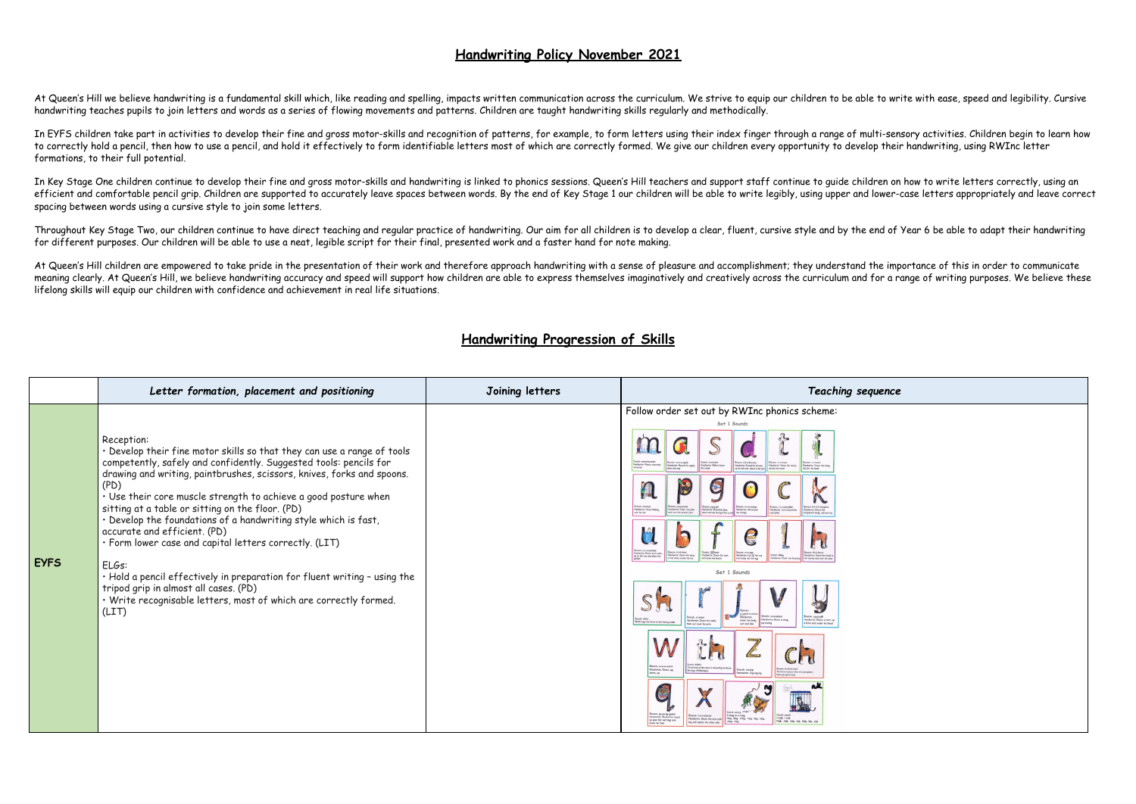## **Handwriting Policy November 2021**

At Queen's Hill we believe handwriting is a fundamental skill which, like reading and spelling, impacts written communication across the curriculum. We strive to equip our children to be able to write with ease, speed and handwriting teaches pupils to join letters and words as a series of flowing movements and patterns. Children are taught handwriting skills regularly and methodically.

In EYFS children take part in activities to develop their fine and gross motor-skills and recognition of patterns, for example, to form letters using their index finger through a range of multi-sensory activities. Children to correctly hold a pencil, then how to use a pencil, and hold it effectively to form identifiable letters most of which are correctly formed. We give our children every opportunity to develop their handwriting, using RWIn formations, to their full potential.

In Key Stage One children continue to develop their fine and gross motor-skills and handwriting is linked to phonics sessions. Queen's Hill teachers and support staff continue to guide children on how to write letters corr efficient and comfortable pencil grip. Children are supported to accurately leave spaces between words. By the end of Key Stage 1 our children will be able to write legibly, using upper and lower-case letters appropriately spacing between words using a cursive style to join some letters.

Throughout Key Stage Two, our children continue to have direct teaching and regular practice of handwriting. Our aim for all children is to develop a clear, fluent, cursive style and by the end of Year 6 be able to adapt t for different purposes. Our children will be able to use a neat, legible script for their final, presented work and a faster hand for note making.

At Queen's Hill children are empowered to take pride in the presentation of their work and therefore approach handwriting with a sense of pleasure and accomplishment; they understand the importance of this in order to comm meaning clearly. At Queen's Hill, we believe handwriting accuracy and speed will support how children are able to express themselves imaginatively and creatively across the curriculum and for a range of writing purposes. W lifelong skills will equip our children with confidence and achievement in real life situations.

## **Handwriting Progression of Skills**

|             | Letter formation, placement and positioning                                                                                                                                                                                                                                                                                                                                                                                                                                                                                                                                                                                                                                                                                                   | Joining letters | Teaching sequence                                                                                                                                                                                                                                                                                                                                                                                                                                                                                                                                                                                                                                                                                                                                                                                                                                                                                                                                                                                                                                                                                                                                                                                                                                                                                                                                                                                                                                                                                                                                                                                                                                                                                                                                                                                                                                                                                                                                                                                                                                                                                                                                                                                          |
|-------------|-----------------------------------------------------------------------------------------------------------------------------------------------------------------------------------------------------------------------------------------------------------------------------------------------------------------------------------------------------------------------------------------------------------------------------------------------------------------------------------------------------------------------------------------------------------------------------------------------------------------------------------------------------------------------------------------------------------------------------------------------|-----------------|------------------------------------------------------------------------------------------------------------------------------------------------------------------------------------------------------------------------------------------------------------------------------------------------------------------------------------------------------------------------------------------------------------------------------------------------------------------------------------------------------------------------------------------------------------------------------------------------------------------------------------------------------------------------------------------------------------------------------------------------------------------------------------------------------------------------------------------------------------------------------------------------------------------------------------------------------------------------------------------------------------------------------------------------------------------------------------------------------------------------------------------------------------------------------------------------------------------------------------------------------------------------------------------------------------------------------------------------------------------------------------------------------------------------------------------------------------------------------------------------------------------------------------------------------------------------------------------------------------------------------------------------------------------------------------------------------------------------------------------------------------------------------------------------------------------------------------------------------------------------------------------------------------------------------------------------------------------------------------------------------------------------------------------------------------------------------------------------------------------------------------------------------------------------------------------------------------|
| <b>EYFS</b> | Reception:<br>. Develop their fine motor skills so that they can use a range of tools<br>competently, safely and confidently. Suggested tools: pencils for<br>drawing and writing, paintbrushes, scissors, knives, forks and spoons.<br>(PD)<br>· Use their core muscle strength to achieve a good posture when<br>sitting at a table or sitting on the floor. (PD)<br>. Develop the foundations of a handwriting style which is fast,<br>accurate and efficient. (PD)<br>· Form lower case and capital letters correctly. (LIT)<br>ELGs:<br>. Hold a pencil effectively in preparation for fluent writing - using the<br>tripod grip in almost all cases. (PD)<br>· Write recognisable letters, most of which are correctly formed.<br>(LIT) |                 | Follow order set out by RWInc phonics scheme:<br>Set 1 Sounds<br>ounce: a-a-a-apple<br>etch: sssssnake<br>unce ddddinasor<br>NINCE: 1-1-1 COMP<br>Handwrite: Maisie, mountair<br>landwrite: Round the apple,<br>Handwrite: Slither down<br>landwrite: Round his be<br>Handwrite: Down the tower,<br>Handwrite: Down the I<br>p his tall neck, down to his f<br>dot for the head<br>down the leaf<br>ross the tower<br>E<br>$\bullet$<br>tretchi nanavvet<br>unce: p-p-p-pirati<br>e kikikikianana<br>Handwrite: Down Nobby.<br>over his net<br>landwrite: Down the plait<br>andwrite: Curl around the<br>dwrite: Round her face<br>Indwrite: All around<br>ndwrite: Down the<br>and over the pirate's face<br>bwn her hair and give her a curl<br>the orange<br>aterpillar<br>kangaroo's body, tail and le<br>36.36<br>retch: !!!!!<br>Bounce: e-e-egg<br>Handwrite: Lift off the top<br>Handwrite: Down and under<br>andwrite: Down the stem<br>ndwrite: Down the laces<br>derice: Down the head t<br>up to the top and draw the<br>and draw the leaves<br>to the heel, round the toe<br>and scoop out the eqq.<br>the hooves and over his back<br>onderite: Down the long les<br>Set 1 Sounds<br>Hisck-in-a<br>lounce: y-y-y-yak<br>Stretch: rrrroba<br>fandwrite:<br>retch: shhhi<br>Handwrite: Down a wing,<br>Handwrite: Down a horn up<br>Handwrite: Down his back,<br>down his body<br>Shhhh says the horse to the hissing snake<br>curl and dot<br>up a wing<br>a horn and under his head<br>then curl over his arm<br><b>With St</b><br><b>Course</b><br>Jounce: www.worm<br>princess in the tower is rescued by the horse.<br>Handwrite: Down, up,<br><b>Bounce:</b> chickerhichael<br>seys thinkenkyou<br>retch: zzzzzio<br>The horse sneezes when the caterpillar's<br>lown, up<br>dwrite: Zig-zag-zig<br>tains ont up his nose<br>Bounce: qu qu-qu-queen<br>Handwrite: Round her head,<br>tretch: news<br><b>Source: Visualesering</b><br>A thing on a string<br>I think I stink<br>think stink with tick blok lick pick<br>thing, pleg, string, wing, sing, song.<br>Handwrite: Down the orm and<br>up past her earrings and<br>pong, song<br>leg and repeat the other side<br>down her hair |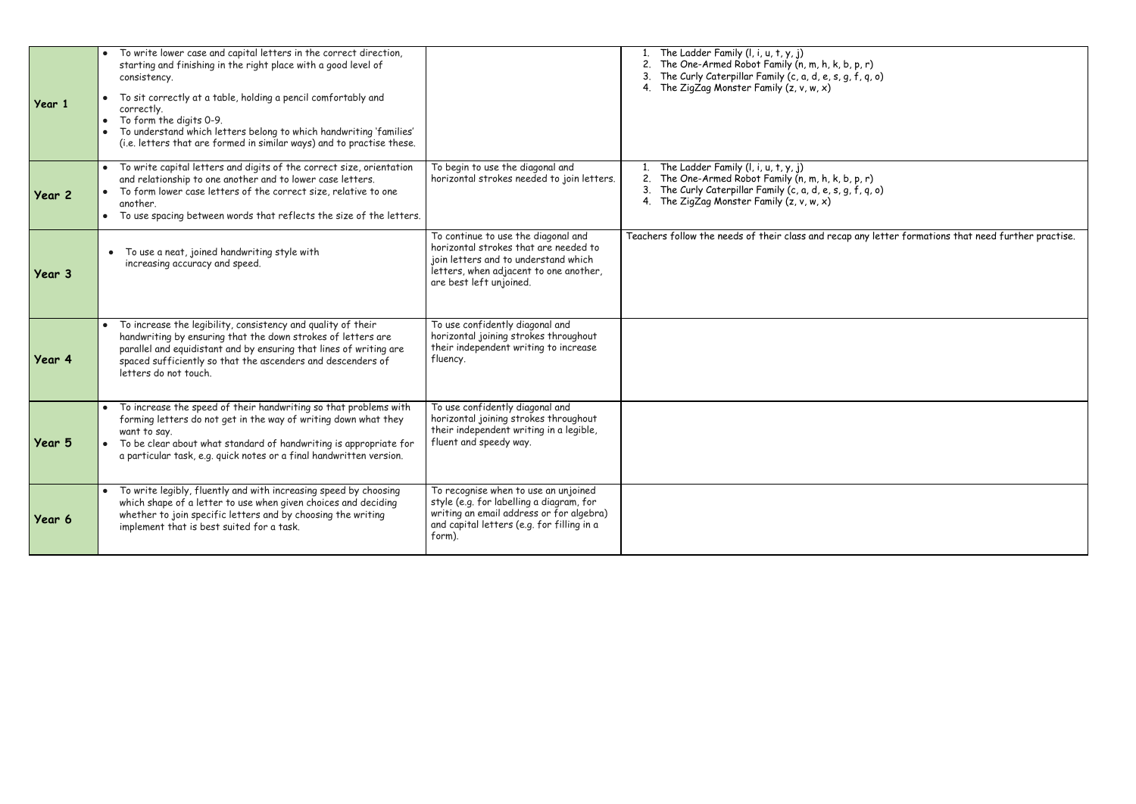| Year 1 | To write lower case and capital letters in the correct direction,<br>starting and finishing in the right place with a good level of<br>consistency.<br>To sit correctly at a table, holding a pencil comfortably and<br>correctly.<br>To form the digits 0-9.<br>To understand which letters belong to which handwriting 'families'<br>(i.e. letters that are formed in similar ways) and to practise these. |                                                                                                                                                                                           | The Ladder Family $(l, i, u, t, y, j)$<br>2. The One-Armed Robot Family (n, m, h, k, b, p, r)<br>The Curly Caterpillar Family (c, a, d, e, s, g, f, q, o)<br>4. The ZigZag Monster Family $(z, v, w, x)$     |
|--------|--------------------------------------------------------------------------------------------------------------------------------------------------------------------------------------------------------------------------------------------------------------------------------------------------------------------------------------------------------------------------------------------------------------|-------------------------------------------------------------------------------------------------------------------------------------------------------------------------------------------|--------------------------------------------------------------------------------------------------------------------------------------------------------------------------------------------------------------|
| Year 2 | To write capital letters and digits of the correct size, orientation<br>and relationship to one another and to lower case letters.<br>To form lower case letters of the correct size, relative to one<br>another.<br>To use spacing between words that reflects the size of the letters.                                                                                                                     | To begin to use the diagonal and<br>horizontal strokes needed to join letters.                                                                                                            | The Ladder Family (I, i, u, t, y, j)<br>The One-Armed Robot Family (n, m, h, k, b, p, r)<br>2.<br>The Curly Caterpillar Family (c, a, d, e, s, g, f, q, o)<br>The ZigZag Monster Family $(z, v, w, x)$<br>4. |
| Year 3 | To use a neat, joined handwriting style with<br>$\bullet$<br>increasing accuracy and speed.                                                                                                                                                                                                                                                                                                                  | To continue to use the diagonal and<br>horizontal strokes that are needed to<br>join letters and to understand which<br>letters, when adjacent to one another,<br>are best left unjoined. | Teachers follow the needs of their class and recap any let                                                                                                                                                   |
| Year 4 | To increase the legibility, consistency and quality of their<br>handwriting by ensuring that the down strokes of letters are<br>parallel and equidistant and by ensuring that lines of writing are<br>spaced sufficiently so that the ascenders and descenders of<br>letters do not touch.                                                                                                                   | To use confidently diagonal and<br>horizontal joining strokes throughout<br>their independent writing to increase<br>fluency.                                                             |                                                                                                                                                                                                              |
| Year 5 | To increase the speed of their handwriting so that problems with<br>forming letters do not get in the way of writing down what they<br>want to say.<br>To be clear about what standard of handwriting is appropriate for<br>a particular task, e.g. quick notes or a final handwritten version.                                                                                                              | To use confidently diagonal and<br>horizontal joining strokes throughout<br>their independent writing in a legible,<br>fluent and speedy way.                                             |                                                                                                                                                                                                              |
| Year 6 | To write legibly, fluently and with increasing speed by choosing<br>which shape of a letter to use when given choices and deciding<br>whether to join specific letters and by choosing the writing<br>implement that is best suited for a task.                                                                                                                                                              | To recognise when to use an unjoined<br>style (e.g. for labelling a diagram, for<br>writing an email address or for algebra)<br>and capital letters (e.g. for filling in a<br>form).      |                                                                                                                                                                                                              |

| , r) |         |
|------|---------|
|      | , q, o) |

p, r)<br>f, q, o)

any letter formations that need further practise.